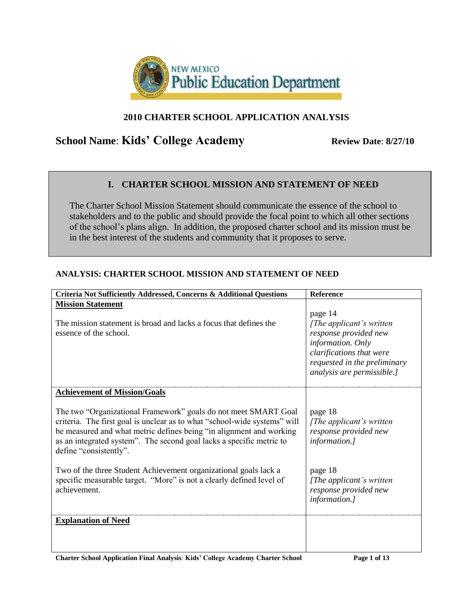

# **2010 CHARTER SCHOOL APPLICATION ANALYSIS**

# **School Name: Kids' College Academy** Review Date: 8/27/10

# **I. CHARTER SCHOOL MISSION AND STATEMENT OF NEED**

The Charter School Mission Statement should communicate the essence of the school to stakeholders and to the public and should provide the focal point to which all other sections of the school's plans align. In addition, the proposed charter school and its mission must be in the best interest of the students and community that it proposes to serve.

#### **Criteria Not Sufficiently Addressed, Concerns & Additional Questions Reference Mission Statement** The mission statement is broad and lacks a focus that defines the essence of the school. page 14 *[The applicant's written response provided new information. Only clarifications that were requested in the preliminary analysis are permissible.]* **Achievement of Mission/Goals** The two "Organizational Framework" goals do not meet SMART Goal criteria. The first goal is unclear as to what "school-wide systems" will be measured and what metric defines being "in alignment and working as an integrated system". The second goal lacks a specific metric to define "consistently". Two of the three Student Achievement organizational goals lack a specific measurable target. "More" is not a clearly defined level of achievement. page 18 *[The applicant's written response provided new information.]* page 18 *[The applicant's written response provided new information.]* **Explanation of Need**

# **ANALYSIS: CHARTER SCHOOL MISSION AND STATEMENT OF NEED**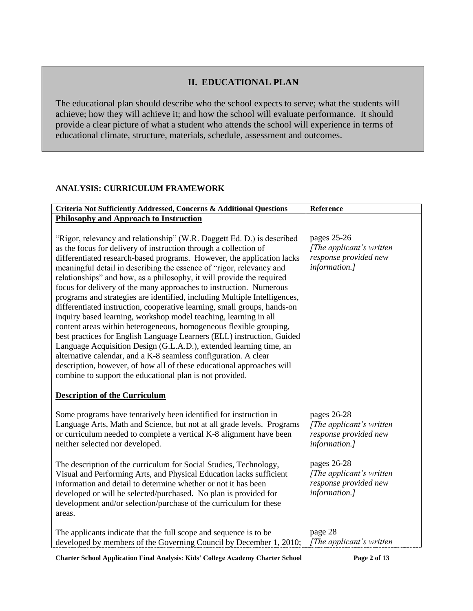#### **II. EDUCATIONAL PLAN**

The educational plan should describe who the school expects to serve; what the students will achieve; how they will achieve it; and how the school will evaluate performance. It should provide a clear picture of what a student who attends the school will experience in terms of educational climate, structure, materials, schedule, assessment and outcomes.

#### **ANALYSIS: CURRICULUM FRAMEWORK**

| Criteria Not Sufficiently Addressed, Concerns & Additional Questions                                                                                                                                                                                                                                                                                                                                                                                                                                                                                                                                                                                                                                                                                                                                                                                                           | Reference                                                                          |
|--------------------------------------------------------------------------------------------------------------------------------------------------------------------------------------------------------------------------------------------------------------------------------------------------------------------------------------------------------------------------------------------------------------------------------------------------------------------------------------------------------------------------------------------------------------------------------------------------------------------------------------------------------------------------------------------------------------------------------------------------------------------------------------------------------------------------------------------------------------------------------|------------------------------------------------------------------------------------|
| <b>Philosophy and Approach to Instruction</b><br>"Rigor, relevancy and relationship" (W.R. Daggett Ed. D.) is described<br>as the focus for delivery of instruction through a collection of<br>differentiated research-based programs. However, the application lacks                                                                                                                                                                                                                                                                                                                                                                                                                                                                                                                                                                                                          | pages 25-26<br>[The applicant's written<br>response provided new                   |
| meaningful detail in describing the essence of "rigor, relevancy and<br>relationships" and how, as a philosophy, it will provide the required<br>focus for delivery of the many approaches to instruction. Numerous<br>programs and strategies are identified, including Multiple Intelligences,<br>differentiated instruction, cooperative learning, small groups, hands-on<br>inquiry based learning, workshop model teaching, learning in all<br>content areas within heterogeneous, homogeneous flexible grouping,<br>best practices for English Language Learners (ELL) instruction, Guided<br>Language Acquisition Design (G.L.A.D.), extended learning time, an<br>alternative calendar, and a K-8 seamless configuration. A clear<br>description, however, of how all of these educational approaches will<br>combine to support the educational plan is not provided. | information.]                                                                      |
| <b>Description of the Curriculum</b>                                                                                                                                                                                                                                                                                                                                                                                                                                                                                                                                                                                                                                                                                                                                                                                                                                           |                                                                                    |
| Some programs have tentatively been identified for instruction in<br>Language Arts, Math and Science, but not at all grade levels. Programs<br>or curriculum needed to complete a vertical K-8 alignment have been<br>neither selected nor developed.                                                                                                                                                                                                                                                                                                                                                                                                                                                                                                                                                                                                                          | pages 26-28<br>[The applicant's written<br>response provided new<br>information.]  |
| The description of the curriculum for Social Studies, Technology,<br>Visual and Performing Arts, and Physical Education lacks sufficient<br>information and detail to determine whether or not it has been<br>developed or will be selected/purchased. No plan is provided for<br>development and/or selection/purchase of the curriculum for these<br>areas.                                                                                                                                                                                                                                                                                                                                                                                                                                                                                                                  | pages 26-28<br>[The applicant's written]<br>response provided new<br>information.] |
| The applicants indicate that the full scope and sequence is to be<br>developed by members of the Governing Council by December 1, 2010;                                                                                                                                                                                                                                                                                                                                                                                                                                                                                                                                                                                                                                                                                                                                        | page 28<br>[The applicant's written                                                |

**Charter School Application Final Analysis**: **Kids' College Academy Charter School Page 2 of 13**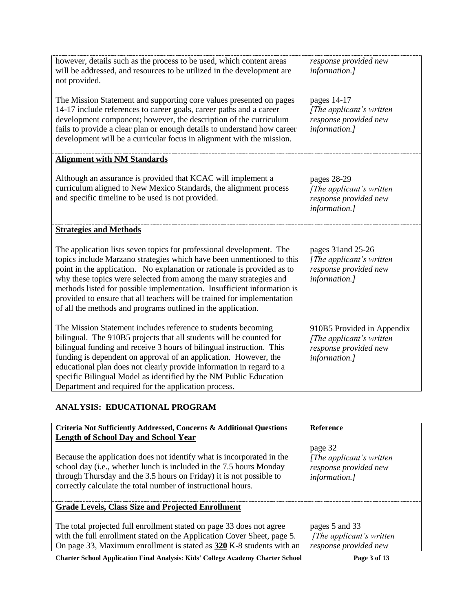| however, details such as the process to be used, which content areas<br>will be addressed, and resources to be utilized in the development are<br>not provided.                                                                                                                                                                                                                                                                                                                                                     | response provided new<br>information.]                                                            |
|---------------------------------------------------------------------------------------------------------------------------------------------------------------------------------------------------------------------------------------------------------------------------------------------------------------------------------------------------------------------------------------------------------------------------------------------------------------------------------------------------------------------|---------------------------------------------------------------------------------------------------|
| The Mission Statement and supporting core values presented on pages<br>14-17 include references to career goals, career paths and a career<br>development component; however, the description of the curriculum<br>fails to provide a clear plan or enough details to understand how career<br>development will be a curricular focus in alignment with the mission.                                                                                                                                                | pages 14-17<br>[The applicant's written]<br>response provided new<br>information.]                |
| <b>Alignment with NM Standards</b>                                                                                                                                                                                                                                                                                                                                                                                                                                                                                  |                                                                                                   |
| Although an assurance is provided that KCAC will implement a<br>curriculum aligned to New Mexico Standards, the alignment process<br>and specific timeline to be used is not provided.                                                                                                                                                                                                                                                                                                                              | pages 28-29<br>[The applicant's written<br>response provided new<br>information.]                 |
| <b>Strategies and Methods</b>                                                                                                                                                                                                                                                                                                                                                                                                                                                                                       |                                                                                                   |
| The application lists seven topics for professional development. The<br>topics include Marzano strategies which have been unmentioned to this<br>point in the application. No explanation or rationale is provided as to<br>why these topics were selected from among the many strategies and<br>methods listed for possible implementation. Insufficient information is<br>provided to ensure that all teachers will be trained for implementation<br>of all the methods and programs outlined in the application. | pages 31 and 25-26<br>[The applicant's written]<br>response provided new<br>information.]         |
| The Mission Statement includes reference to students becoming<br>bilingual. The 910B5 projects that all students will be counted for<br>bilingual funding and receive 3 hours of bilingual instruction. This<br>funding is dependent on approval of an application. However, the<br>educational plan does not clearly provide information in regard to a<br>specific Bilingual Model as identified by the NM Public Education<br>Department and required for the application process.                               | 910B5 Provided in Appendix<br>[The applicant's written]<br>response provided new<br>information.] |

# **ANALYSIS: EDUCATIONAL PROGRAM**

| <b>Criteria Not Sufficiently Addressed, Concerns &amp; Additional Questions</b>                                                                                                                                                                                                                                                    | <b>Reference</b>                                                               |
|------------------------------------------------------------------------------------------------------------------------------------------------------------------------------------------------------------------------------------------------------------------------------------------------------------------------------------|--------------------------------------------------------------------------------|
| <b>Length of School Day and School Year</b><br>Because the application does not identify what is incorporated in the<br>school day (i.e., whether lunch is included in the 7.5 hours Monday<br>through Thursday and the 3.5 hours on Friday) it is not possible to<br>correctly calculate the total number of instructional hours. | page 32<br>[The applicant's written]<br>response provided new<br>information.] |
| Grade Levels, Class Size and Projected Enrollment                                                                                                                                                                                                                                                                                  |                                                                                |
| The total projected full enrollment stated on page 33 does not agree<br>with the full enrollment stated on the Application Cover Sheet, page 5.<br>On page 33, Maximum enrollment is stated as 320 K-8 students with an                                                                                                            | pages 5 and 33<br>[The applicant's written]<br>response provided new           |
|                                                                                                                                                                                                                                                                                                                                    |                                                                                |

**Charter School Application Final Analysis**: **Kids' College Academy Charter School Page 3 of 13**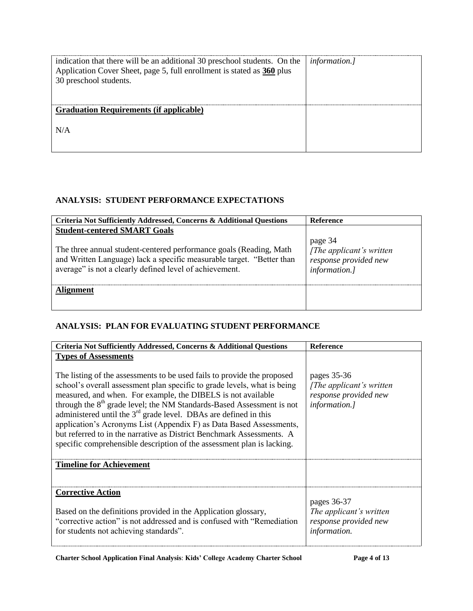| indication that there will be an additional 30 preschool students. On the   <i>information.</i> ]<br>Application Cover Sheet, page 5, full enrollment is stated as 360 plus<br>30 preschool students. |  |
|-------------------------------------------------------------------------------------------------------------------------------------------------------------------------------------------------------|--|
| <b>Graduation Requirements (if applicable)</b>                                                                                                                                                        |  |
| N/A                                                                                                                                                                                                   |  |

#### **ANALYSIS: STUDENT PERFORMANCE EXPECTATIONS**

| Criteria Not Sufficiently Addressed, Concerns & Additional Questions                                                                                                                                                                          | <b>Reference</b>                                                               |
|-----------------------------------------------------------------------------------------------------------------------------------------------------------------------------------------------------------------------------------------------|--------------------------------------------------------------------------------|
| <b>Student-centered SMART Goals</b><br>The three annual student-centered performance goals (Reading, Math<br>and Written Language) lack a specific measurable target. "Better than<br>average" is not a clearly defined level of achievement. | page 34<br>[The applicant's written]<br>response provided new<br>information.] |
| Alignment                                                                                                                                                                                                                                     |                                                                                |

# **ANALYSIS: PLAN FOR EVALUATING STUDENT PERFORMANCE**

| Criteria Not Sufficiently Addressed, Concerns & Additional Questions                                                                                                                                                                                                                                                                                                                                                                                                                                                                                                                                                                    | Reference                                                                                 |
|-----------------------------------------------------------------------------------------------------------------------------------------------------------------------------------------------------------------------------------------------------------------------------------------------------------------------------------------------------------------------------------------------------------------------------------------------------------------------------------------------------------------------------------------------------------------------------------------------------------------------------------------|-------------------------------------------------------------------------------------------|
| <b>Types of Assessments</b><br>The listing of the assessments to be used fails to provide the proposed<br>school's overall assessment plan specific to grade levels, what is being<br>measured, and when. For example, the DIBELS is not available<br>through the 8 <sup>th</sup> grade level; the NM Standards-Based Assessment is not<br>administered until the $3rd$ grade level. DBAs are defined in this<br>application's Acronyms List (Appendix F) as Data Based Assessments,<br>but referred to in the narrative as District Benchmark Assessments. A<br>specific comprehensible description of the assessment plan is lacking. | pages 35-36<br>[The applicant's written]<br>response provided new<br><i>information.]</i> |
| <b>Timeline for Achievement</b>                                                                                                                                                                                                                                                                                                                                                                                                                                                                                                                                                                                                         |                                                                                           |
| <b>Corrective Action</b><br>Based on the definitions provided in the Application glossary,<br>"corrective action" is not addressed and is confused with "Remediation"<br>for students not achieving standards".                                                                                                                                                                                                                                                                                                                                                                                                                         | pages 36-37<br>The applicant's written<br>response provided new<br>information.           |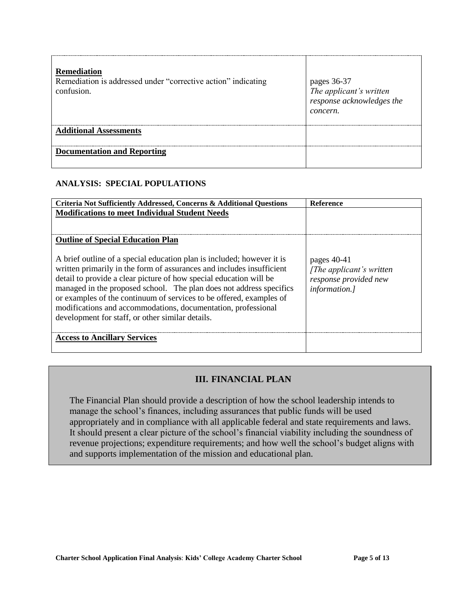| <b>Remediation</b><br>Remediation is addressed under "corrective action" indicating<br>confusion. | pages 36-37<br>The applicant's written<br>response acknowledges the<br>concern. |
|---------------------------------------------------------------------------------------------------|---------------------------------------------------------------------------------|
| <b>Additional Assessments</b>                                                                     |                                                                                 |
| <b>Documentation and Reporting</b>                                                                |                                                                                 |

#### **ANALYSIS: SPECIAL POPULATIONS**

| Criteria Not Sufficiently Addressed, Concerns & Additional Questions                                                                                                                                                                                                                                                                                                                                                                                                                     | <b>Reference</b>                                                                            |
|------------------------------------------------------------------------------------------------------------------------------------------------------------------------------------------------------------------------------------------------------------------------------------------------------------------------------------------------------------------------------------------------------------------------------------------------------------------------------------------|---------------------------------------------------------------------------------------------|
| <b>Modifications to meet Individual Student Needs</b>                                                                                                                                                                                                                                                                                                                                                                                                                                    |                                                                                             |
|                                                                                                                                                                                                                                                                                                                                                                                                                                                                                          |                                                                                             |
|                                                                                                                                                                                                                                                                                                                                                                                                                                                                                          |                                                                                             |
| <b>Outline of Special Education Plan</b>                                                                                                                                                                                                                                                                                                                                                                                                                                                 |                                                                                             |
| A brief outline of a special education plan is included; however it is<br>written primarily in the form of assurances and includes insufficient<br>detail to provide a clear picture of how special education will be<br>managed in the proposed school. The plan does not address specifics<br>or examples of the continuum of services to be offered, examples of<br>modifications and accommodations, documentation, professional<br>development for staff, or other similar details. | pages $40-41$<br>[The applicant's written]<br>response provided new<br><i>information.]</i> |
| <b>Access to Ancillary Services</b>                                                                                                                                                                                                                                                                                                                                                                                                                                                      |                                                                                             |
|                                                                                                                                                                                                                                                                                                                                                                                                                                                                                          |                                                                                             |

# **III. FINANCIAL PLAN**

The Financial Plan should provide a description of how the school leadership intends to manage the school's finances, including assurances that public funds will be used appropriately and in compliance with all applicable federal and state requirements and laws. It should present a clear picture of the school's financial viability including the soundness of revenue projections; expenditure requirements; and how well the school's budget aligns with and supports implementation of the mission and educational plan.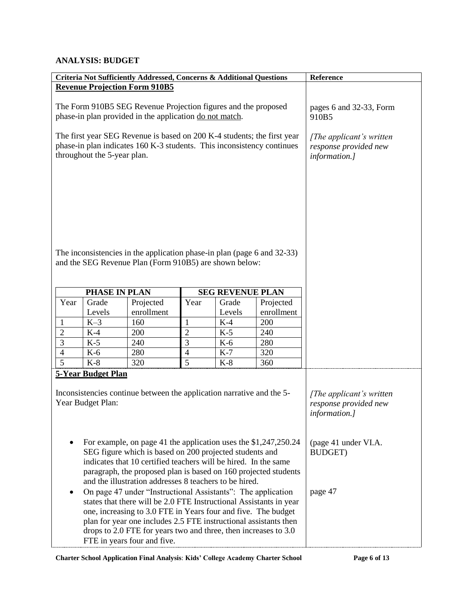#### **ANALYSIS: BUDGET**

| Criteria Not Sufficiently Addressed, Concerns & Additional Questions                                                                                                                                                                                                           |                             |                                                                                                                            |                                                                                        | Reference               |            |                                                    |
|--------------------------------------------------------------------------------------------------------------------------------------------------------------------------------------------------------------------------------------------------------------------------------|-----------------------------|----------------------------------------------------------------------------------------------------------------------------|----------------------------------------------------------------------------------------|-------------------------|------------|----------------------------------------------------|
| <b>Revenue Projection Form 910B5</b>                                                                                                                                                                                                                                           |                             |                                                                                                                            |                                                                                        |                         |            |                                                    |
| The Form 910B5 SEG Revenue Projection figures and the proposed<br>phase-in plan provided in the application do not match.<br>The first year SEG Revenue is based on 200 K-4 students; the first year<br>phase-in plan indicates 160 K-3 students. This inconsistency continues |                             |                                                                                                                            | pages 6 and 32-33, Form<br>910B5<br>[The applicant's written]<br>response provided new |                         |            |                                                    |
|                                                                                                                                                                                                                                                                                | throughout the 5-year plan. |                                                                                                                            |                                                                                        |                         |            | information.]                                      |
|                                                                                                                                                                                                                                                                                |                             |                                                                                                                            |                                                                                        |                         |            |                                                    |
|                                                                                                                                                                                                                                                                                |                             |                                                                                                                            |                                                                                        |                         |            |                                                    |
|                                                                                                                                                                                                                                                                                |                             |                                                                                                                            |                                                                                        |                         |            |                                                    |
|                                                                                                                                                                                                                                                                                |                             |                                                                                                                            |                                                                                        |                         |            |                                                    |
|                                                                                                                                                                                                                                                                                |                             |                                                                                                                            |                                                                                        |                         |            |                                                    |
|                                                                                                                                                                                                                                                                                |                             |                                                                                                                            |                                                                                        |                         |            |                                                    |
|                                                                                                                                                                                                                                                                                |                             | The inconsistencies in the application phase-in plan (page 6 and 32-33)                                                    |                                                                                        |                         |            |                                                    |
|                                                                                                                                                                                                                                                                                |                             | and the SEG Revenue Plan (Form 910B5) are shown below:                                                                     |                                                                                        |                         |            |                                                    |
|                                                                                                                                                                                                                                                                                |                             |                                                                                                                            |                                                                                        |                         |            |                                                    |
|                                                                                                                                                                                                                                                                                | PHASE IN PLAN               |                                                                                                                            |                                                                                        | <b>SEG REVENUE PLAN</b> |            |                                                    |
| Year                                                                                                                                                                                                                                                                           | Grade                       | Projected                                                                                                                  | Year                                                                                   | Grade                   | Projected  |                                                    |
|                                                                                                                                                                                                                                                                                | Levels                      | enrollment                                                                                                                 |                                                                                        | Levels                  | enrollment |                                                    |
| $\mathbf{1}$                                                                                                                                                                                                                                                                   | $K-3$                       | 160                                                                                                                        | 1                                                                                      | $K-4$                   | 200        |                                                    |
| $\overline{2}$                                                                                                                                                                                                                                                                 | $K-4$                       | 200                                                                                                                        | $\overline{2}$                                                                         | $K-5$                   | 240        |                                                    |
| $\overline{3}$                                                                                                                                                                                                                                                                 | $K-5$                       | 240                                                                                                                        | 3                                                                                      | $K-6$                   | 280        |                                                    |
| $\overline{4}$                                                                                                                                                                                                                                                                 | $K-6$                       | 280                                                                                                                        | 4                                                                                      | $K-7$                   | 320        |                                                    |
| $\overline{5}$                                                                                                                                                                                                                                                                 | $K-8$                       | 320                                                                                                                        | 5                                                                                      | $K-8$                   | 360        |                                                    |
|                                                                                                                                                                                                                                                                                | <b>5-Year Budget Plan</b>   |                                                                                                                            |                                                                                        |                         |            |                                                    |
|                                                                                                                                                                                                                                                                                |                             | Inconsistencies continue between the application narrative and the 5-                                                      |                                                                                        |                         |            |                                                    |
|                                                                                                                                                                                                                                                                                | Year Budget Plan:           |                                                                                                                            |                                                                                        |                         |            | [The applicant's written]<br>response provided new |
|                                                                                                                                                                                                                                                                                |                             |                                                                                                                            |                                                                                        |                         |            | information.]                                      |
|                                                                                                                                                                                                                                                                                |                             |                                                                                                                            |                                                                                        |                         |            |                                                    |
|                                                                                                                                                                                                                                                                                |                             |                                                                                                                            |                                                                                        |                         |            |                                                    |
|                                                                                                                                                                                                                                                                                |                             | For example, on page 41 the application uses the \$1,247,250.24<br>SEG figure which is based on 200 projected students and |                                                                                        |                         |            | (page 41 under VI.A.                               |
|                                                                                                                                                                                                                                                                                |                             | indicates that 10 certified teachers will be hired. In the same                                                            |                                                                                        |                         |            | <b>BUDGET)</b>                                     |
|                                                                                                                                                                                                                                                                                |                             | paragraph, the proposed plan is based on 160 projected students                                                            |                                                                                        |                         |            |                                                    |
|                                                                                                                                                                                                                                                                                |                             | and the illustration addresses 8 teachers to be hired.                                                                     |                                                                                        |                         |            |                                                    |
|                                                                                                                                                                                                                                                                                |                             | On page 47 under "Instructional Assistants": The application                                                               |                                                                                        |                         |            | page 47                                            |
|                                                                                                                                                                                                                                                                                |                             | states that there will be 2.0 FTE Instructional Assistants in year                                                         |                                                                                        |                         |            |                                                    |
|                                                                                                                                                                                                                                                                                |                             | one, increasing to 3.0 FTE in Years four and five. The budget                                                              |                                                                                        |                         |            |                                                    |
| plan for year one includes 2.5 FTE instructional assistants then                                                                                                                                                                                                               |                             |                                                                                                                            |                                                                                        |                         |            |                                                    |
| drops to 2.0 FTE for years two and three, then increases to 3.0<br>FTE in years four and five.                                                                                                                                                                                 |                             |                                                                                                                            |                                                                                        |                         |            |                                                    |

**Charter School Application Final Analysis**: **Kids' College Academy Charter School Page 6 of 13**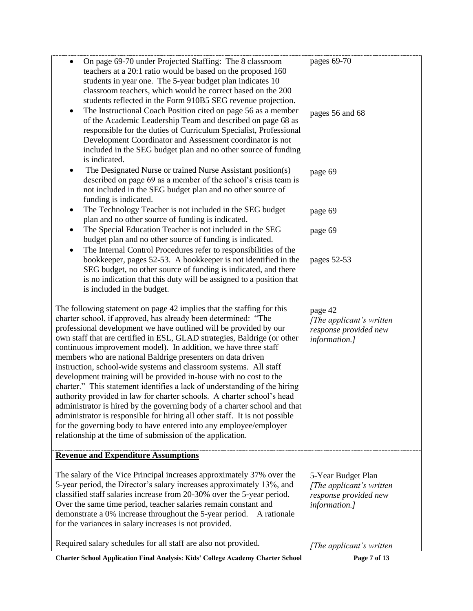| On page 69-70 under Projected Staffing: The 8 classroom<br>$\bullet$<br>teachers at a 20:1 ratio would be based on the proposed 160<br>students in year one. The 5-year budget plan indicates 10<br>classroom teachers, which would be correct based on the 200<br>students reflected in the Form 910B5 SEG revenue projection.<br>The Instructional Coach Position cited on page 56 as a member<br>٠<br>of the Academic Leadership Team and described on page 68 as<br>responsible for the duties of Curriculum Specialist, Professional<br>Development Coordinator and Assessment coordinator is not<br>included in the SEG budget plan and no other source of funding<br>is indicated.                                                                                                                                                                                                                                                                                                                                   | pages 69-70<br>pages 56 and 68                                                            |
|-----------------------------------------------------------------------------------------------------------------------------------------------------------------------------------------------------------------------------------------------------------------------------------------------------------------------------------------------------------------------------------------------------------------------------------------------------------------------------------------------------------------------------------------------------------------------------------------------------------------------------------------------------------------------------------------------------------------------------------------------------------------------------------------------------------------------------------------------------------------------------------------------------------------------------------------------------------------------------------------------------------------------------|-------------------------------------------------------------------------------------------|
| The Designated Nurse or trained Nurse Assistant position(s)<br>٠<br>described on page 69 as a member of the school's crisis team is<br>not included in the SEG budget plan and no other source of<br>funding is indicated.                                                                                                                                                                                                                                                                                                                                                                                                                                                                                                                                                                                                                                                                                                                                                                                                  | page 69                                                                                   |
| The Technology Teacher is not included in the SEG budget<br>٠<br>plan and no other source of funding is indicated.<br>The Special Education Teacher is not included in the SEG<br>٠                                                                                                                                                                                                                                                                                                                                                                                                                                                                                                                                                                                                                                                                                                                                                                                                                                         | page 69<br>page 69                                                                        |
| budget plan and no other source of funding is indicated.<br>The Internal Control Procedures refer to responsibilities of the<br>٠<br>bookkeeper, pages 52-53. A bookkeeper is not identified in the<br>SEG budget, no other source of funding is indicated, and there<br>is no indication that this duty will be assigned to a position that<br>is included in the budget.                                                                                                                                                                                                                                                                                                                                                                                                                                                                                                                                                                                                                                                  | pages 52-53                                                                               |
| The following statement on page 42 implies that the staffing for this<br>charter school, if approved, has already been determined: "The<br>professional development we have outlined will be provided by our<br>own staff that are certified in ESL, GLAD strategies, Baldrige (or other<br>continuous improvement model). In addition, we have three staff<br>members who are national Baldrige presenters on data driven<br>instruction, school-wide systems and classroom systems. All staff<br>development training will be provided in-house with no cost to the<br>charter." This statement identifies a lack of understanding of the hiring<br>authority provided in law for charter schools. A charter school's head<br>administrator is hired by the governing body of a charter school and that<br>administrator is responsible for hiring all other staff. It is not possible<br>for the governing body to have entered into any employee/employer<br>relationship at the time of submission of the application. | page 42<br>[The applicant's written]<br>response provided new<br>information.]            |
| <b>Revenue and Expenditure Assumptions</b>                                                                                                                                                                                                                                                                                                                                                                                                                                                                                                                                                                                                                                                                                                                                                                                                                                                                                                                                                                                  |                                                                                           |
| The salary of the Vice Principal increases approximately 37% over the<br>5-year period, the Director's salary increases approximately 13%, and<br>classified staff salaries increase from 20-30% over the 5-year period.<br>Over the same time period, teacher salaries remain constant and<br>demonstrate a 0% increase throughout the 5-year period.<br>A rationale<br>for the variances in salary increases is not provided.                                                                                                                                                                                                                                                                                                                                                                                                                                                                                                                                                                                             | 5-Year Budget Plan<br>[The applicant's written]<br>response provided new<br>information.] |
| Required salary schedules for all staff are also not provided.                                                                                                                                                                                                                                                                                                                                                                                                                                                                                                                                                                                                                                                                                                                                                                                                                                                                                                                                                              | [The applicant's written                                                                  |

**Charter School Application Final Analysis**: **Kids' College Academy Charter School Page 7 of 13**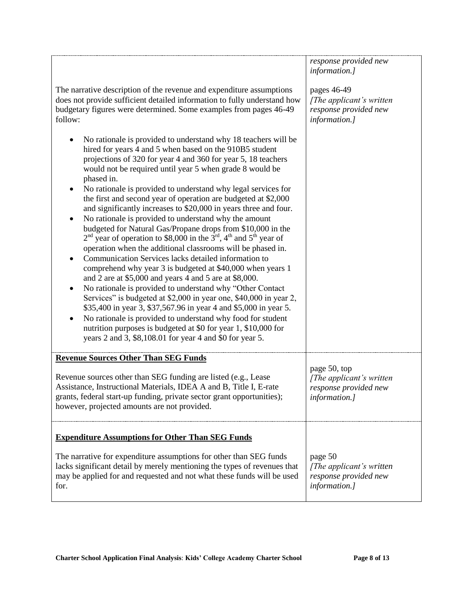|                                                                                                                                                                                                                                                                                                                                                                                                                                                                                                                                                                                                                                                                                                                                                                                                                                                                                                                                                                                                                                                                                                                                                                                                                                                                                                                                                                               | response provided new<br>information.]                                              |
|-------------------------------------------------------------------------------------------------------------------------------------------------------------------------------------------------------------------------------------------------------------------------------------------------------------------------------------------------------------------------------------------------------------------------------------------------------------------------------------------------------------------------------------------------------------------------------------------------------------------------------------------------------------------------------------------------------------------------------------------------------------------------------------------------------------------------------------------------------------------------------------------------------------------------------------------------------------------------------------------------------------------------------------------------------------------------------------------------------------------------------------------------------------------------------------------------------------------------------------------------------------------------------------------------------------------------------------------------------------------------------|-------------------------------------------------------------------------------------|
| The narrative description of the revenue and expenditure assumptions<br>does not provide sufficient detailed information to fully understand how<br>budgetary figures were determined. Some examples from pages 46-49<br>follow:                                                                                                                                                                                                                                                                                                                                                                                                                                                                                                                                                                                                                                                                                                                                                                                                                                                                                                                                                                                                                                                                                                                                              | pages 46-49<br>[The applicant's written]<br>response provided new<br>information.]  |
| No rationale is provided to understand why 18 teachers will be<br>hired for years 4 and 5 when based on the 910B5 student<br>projections of 320 for year 4 and 360 for year 5, 18 teachers<br>would not be required until year 5 when grade 8 would be<br>phased in.<br>No rationale is provided to understand why legal services for<br>the first and second year of operation are budgeted at \$2,000<br>and significantly increases to \$20,000 in years three and four.<br>No rationale is provided to understand why the amount<br>budgeted for Natural Gas/Propane drops from \$10,000 in the<br>$2nd$ year of operation to \$8,000 in the 3 <sup>rd</sup> , 4 <sup>th</sup> and 5 <sup>th</sup> year of<br>operation when the additional classrooms will be phased in.<br>Communication Services lacks detailed information to<br>comprehend why year 3 is budgeted at \$40,000 when years 1<br>and 2 are at \$5,000 and years 4 and 5 are at \$8,000.<br>No rationale is provided to understand why "Other Contact<br>$\bullet$<br>Services" is budgeted at \$2,000 in year one, \$40,000 in year 2,<br>\$35,400 in year 3, \$37,567.96 in year 4 and \$5,000 in year 5.<br>No rationale is provided to understand why food for student<br>nutrition purposes is budgeted at \$0 for year 1, \$10,000 for<br>years 2 and 3, \$8,108.01 for year 4 and \$0 for year 5. |                                                                                     |
| <b>Revenue Sources Other Than SEG Funds</b>                                                                                                                                                                                                                                                                                                                                                                                                                                                                                                                                                                                                                                                                                                                                                                                                                                                                                                                                                                                                                                                                                                                                                                                                                                                                                                                                   |                                                                                     |
| Revenue sources other than SEG funding are listed (e.g., Lease<br>Assistance, Instructional Materials, IDEA A and B, Title I, E-rate<br>grants, federal start-up funding, private sector grant opportunities);<br>however, projected amounts are not provided.                                                                                                                                                                                                                                                                                                                                                                                                                                                                                                                                                                                                                                                                                                                                                                                                                                                                                                                                                                                                                                                                                                                | page 50, top<br>[The applicant's written]<br>response provided new<br>information.] |
| <b>Expenditure Assumptions for Other Than SEG Funds</b>                                                                                                                                                                                                                                                                                                                                                                                                                                                                                                                                                                                                                                                                                                                                                                                                                                                                                                                                                                                                                                                                                                                                                                                                                                                                                                                       |                                                                                     |
| The narrative for expenditure assumptions for other than SEG funds<br>lacks significant detail by merely mentioning the types of revenues that<br>may be applied for and requested and not what these funds will be used<br>for.                                                                                                                                                                                                                                                                                                                                                                                                                                                                                                                                                                                                                                                                                                                                                                                                                                                                                                                                                                                                                                                                                                                                              | page 50<br>[The applicant's written]<br>response provided new<br>information.]      |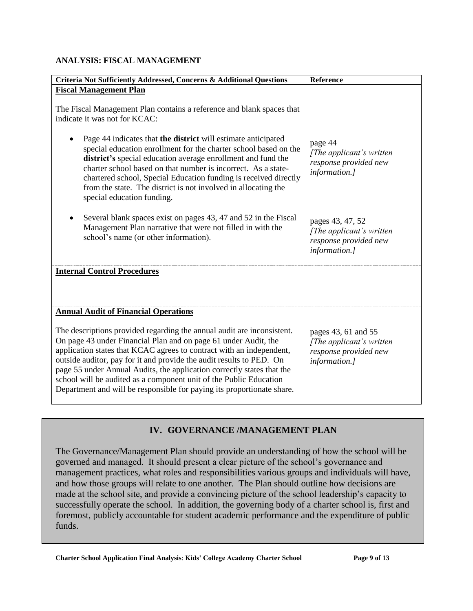#### **ANALYSIS: FISCAL MANAGEMENT**

| Criteria Not Sufficiently Addressed, Concerns & Additional Questions                                                                                                                                                                                                                                                                                                                                                                                                                                                | Reference                                                                                 |
|---------------------------------------------------------------------------------------------------------------------------------------------------------------------------------------------------------------------------------------------------------------------------------------------------------------------------------------------------------------------------------------------------------------------------------------------------------------------------------------------------------------------|-------------------------------------------------------------------------------------------|
| <b>Fiscal Management Plan</b>                                                                                                                                                                                                                                                                                                                                                                                                                                                                                       |                                                                                           |
| The Fiscal Management Plan contains a reference and blank spaces that<br>indicate it was not for KCAC:                                                                                                                                                                                                                                                                                                                                                                                                              |                                                                                           |
| Page 44 indicates that the district will estimate anticipated<br>special education enrollment for the charter school based on the<br>district's special education average enrollment and fund the<br>charter school based on that number is incorrect. As a state-<br>chartered school, Special Education funding is received directly<br>from the state. The district is not involved in allocating the<br>special education funding.                                                                              | page 44<br>[The applicant's written]<br>response provided new<br>information.]            |
| Several blank spaces exist on pages 43, 47 and 52 in the Fiscal<br>Management Plan narrative that were not filled in with the<br>school's name (or other information).                                                                                                                                                                                                                                                                                                                                              | pages 43, 47, 52<br>[The applicant's written]<br>response provided new<br>information.]   |
| <b>Internal Control Procedures</b>                                                                                                                                                                                                                                                                                                                                                                                                                                                                                  |                                                                                           |
|                                                                                                                                                                                                                                                                                                                                                                                                                                                                                                                     |                                                                                           |
| <b>Annual Audit of Financial Operations</b>                                                                                                                                                                                                                                                                                                                                                                                                                                                                         |                                                                                           |
| The descriptions provided regarding the annual audit are inconsistent.<br>On page 43 under Financial Plan and on page 61 under Audit, the<br>application states that KCAC agrees to contract with an independent,<br>outside auditor, pay for it and provide the audit results to PED. On<br>page 55 under Annual Audits, the application correctly states that the<br>school will be audited as a component unit of the Public Education<br>Department and will be responsible for paying its proportionate share. | pages 43, 61 and 55<br>[The applicant's written<br>response provided new<br>information.] |

# **IV. GOVERNANCE /MANAGEMENT PLAN**

The Governance/Management Plan should provide an understanding of how the school will be governed and managed. It should present a clear picture of the school's governance and management practices, what roles and responsibilities various groups and individuals will have, and how those groups will relate to one another. The Plan should outline how decisions are made at the school site, and provide a convincing picture of the school leadership's capacity to successfully operate the school. In addition, the governing body of a charter school is, first and foremost, publicly accountable for student academic performance and the expenditure of public funds.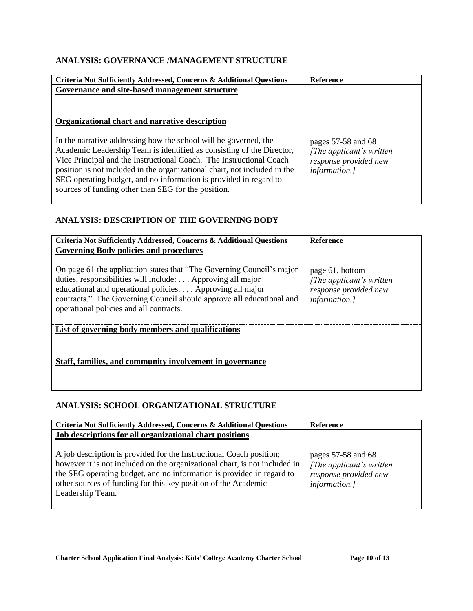#### **ANALYSIS: GOVERNANCE /MANAGEMENT STRUCTURE**

| Criteria Not Sufficiently Addressed, Concerns & Additional Questions                                                                                                                                                                                                                                                                                                                                                      | <b>Reference</b>                                                                            |
|---------------------------------------------------------------------------------------------------------------------------------------------------------------------------------------------------------------------------------------------------------------------------------------------------------------------------------------------------------------------------------------------------------------------------|---------------------------------------------------------------------------------------------|
| Governance and site-based management structure                                                                                                                                                                                                                                                                                                                                                                            |                                                                                             |
|                                                                                                                                                                                                                                                                                                                                                                                                                           |                                                                                             |
|                                                                                                                                                                                                                                                                                                                                                                                                                           |                                                                                             |
| Organizational chart and narrative description                                                                                                                                                                                                                                                                                                                                                                            |                                                                                             |
| In the narrative addressing how the school will be governed, the<br>Academic Leadership Team is identified as consisting of the Director,<br>Vice Principal and the Instructional Coach. The Instructional Coach<br>position is not included in the organizational chart, not included in the<br>SEG operating budget, and no information is provided in regard to<br>sources of funding other than SEG for the position. | pages $57-58$ and 68<br>[The applicant's written]<br>response provided new<br>information.] |

#### **ANALYSIS: DESCRIPTION OF THE GOVERNING BODY**

| Criteria Not Sufficiently Addressed, Concerns & Additional Questions                                                                                                                                                                                                                                                                                                | <b>Reference</b>                                                                       |
|---------------------------------------------------------------------------------------------------------------------------------------------------------------------------------------------------------------------------------------------------------------------------------------------------------------------------------------------------------------------|----------------------------------------------------------------------------------------|
| <b>Governing Body policies and procedures</b><br>On page 61 the application states that "The Governing Council's major<br>duties, responsibilities will include: Approving all major<br>educational and operational policies Approving all major<br>contracts." The Governing Council should approve all educational and<br>operational policies and all contracts. | page 61, bottom<br>[The applicant's written]<br>response provided new<br>information.] |
| List of governing body members and qualifications                                                                                                                                                                                                                                                                                                                   |                                                                                        |
| Staff, families, and community involvement in governance                                                                                                                                                                                                                                                                                                            |                                                                                        |

#### **ANALYSIS: SCHOOL ORGANIZATIONAL STRUCTURE**

| Criteria Not Sufficiently Addressed, Concerns & Additional Questions                                                                                                                                                                                                                                             | Reference                                                                                     |
|------------------------------------------------------------------------------------------------------------------------------------------------------------------------------------------------------------------------------------------------------------------------------------------------------------------|-----------------------------------------------------------------------------------------------|
| Job descriptions for all organizational chart positions                                                                                                                                                                                                                                                          |                                                                                               |
| A job description is provided for the Instructional Coach position;<br>however it is not included on the organizational chart, is not included in<br>the SEG operating budget, and no information is provided in regard to<br>other sources of funding for this key position of the Academic<br>Leadership Team. | pages $57-58$ and $68$<br>[The applicant's written]<br>response provided new<br>information.] |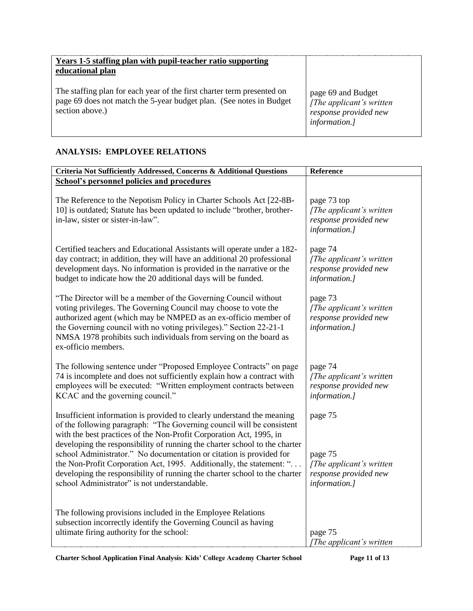| Years 1-5 staffing plan with pupil-teacher ratio supporting<br>educational plan                                                                                  |                                                                                          |
|------------------------------------------------------------------------------------------------------------------------------------------------------------------|------------------------------------------------------------------------------------------|
| The staffing plan for each year of the first charter term presented on<br>page 69 does not match the 5-year budget plan. (See notes in Budget<br>section above.) | page 69 and Budget<br>[The applicant's written<br>response provided new<br>information.] |

#### **ANALYSIS: EMPLOYEE RELATIONS**

| Criteria Not Sufficiently Addressed, Concerns & Additional Questions                                                                                                                                                                                                                                                                                                                                                                                                                                                                                                              | Reference                                                                                |
|-----------------------------------------------------------------------------------------------------------------------------------------------------------------------------------------------------------------------------------------------------------------------------------------------------------------------------------------------------------------------------------------------------------------------------------------------------------------------------------------------------------------------------------------------------------------------------------|------------------------------------------------------------------------------------------|
| <b>School's personnel policies and procedures</b>                                                                                                                                                                                                                                                                                                                                                                                                                                                                                                                                 |                                                                                          |
| The Reference to the Nepotism Policy in Charter Schools Act [22-8B-<br>10] is outdated; Statute has been updated to include "brother, brother-<br>in-law, sister or sister-in-law".                                                                                                                                                                                                                                                                                                                                                                                               | page 73 top<br>[The applicant's written<br>response provided new<br>information.]        |
| Certified teachers and Educational Assistants will operate under a 182-<br>day contract; in addition, they will have an additional 20 professional<br>development days. No information is provided in the narrative or the<br>budget to indicate how the 20 additional days will be funded.                                                                                                                                                                                                                                                                                       | page 74<br>[The applicant's written]<br>response provided new<br>information.]           |
| "The Director will be a member of the Governing Council without<br>voting privileges. The Governing Council may choose to vote the<br>authorized agent (which may be NMPED as an ex-officio member of<br>the Governing council with no voting privileges)." Section 22-21-1<br>NMSA 1978 prohibits such individuals from serving on the board as<br>ex-officio members.                                                                                                                                                                                                           | page 73<br>[The applicant's written]<br>response provided new<br>information.]           |
| The following sentence under "Proposed Employee Contracts" on page<br>74 is incomplete and does not sufficiently explain how a contract with<br>employees will be executed: "Written employment contracts between<br>KCAC and the governing council."                                                                                                                                                                                                                                                                                                                             | page 74<br>[The applicant's written]<br>response provided new<br>information.]           |
| Insufficient information is provided to clearly understand the meaning<br>of the following paragraph: "The Governing council will be consistent<br>with the best practices of the Non-Profit Corporation Act, 1995, in<br>developing the responsibility of running the charter school to the charter<br>school Administrator." No documentation or citation is provided for<br>the Non-Profit Corporation Act, 1995. Additionally, the statement: "<br>developing the responsibility of running the charter school to the charter<br>school Administrator" is not understandable. | page 75<br>page 75<br>[The applicant's written<br>response provided new<br>information.] |
| The following provisions included in the Employee Relations<br>subsection incorrectly identify the Governing Council as having<br>ultimate firing authority for the school:                                                                                                                                                                                                                                                                                                                                                                                                       | page 75<br>The applicant's written                                                       |

**Charter School Application Final Analysis**: **Kids' College Academy Charter School Page 11 of 13**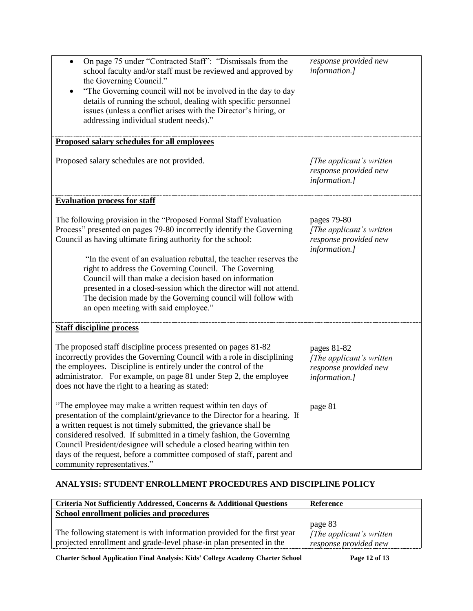| On page 75 under "Contracted Staff": "Dismissals from the<br>$\bullet$<br>school faculty and/or staff must be reviewed and approved by<br>the Governing Council."<br>"The Governing council will not be involved in the day to day<br>details of running the school, dealing with specific personnel<br>issues (unless a conflict arises with the Director's hiring, or<br>addressing individual student needs)."                                                     | response provided new<br>information.]                                            |
|-----------------------------------------------------------------------------------------------------------------------------------------------------------------------------------------------------------------------------------------------------------------------------------------------------------------------------------------------------------------------------------------------------------------------------------------------------------------------|-----------------------------------------------------------------------------------|
| Proposed salary schedules for all employees                                                                                                                                                                                                                                                                                                                                                                                                                           |                                                                                   |
| Proposed salary schedules are not provided.                                                                                                                                                                                                                                                                                                                                                                                                                           | [The applicant's written]<br>response provided new<br>information.]               |
| <b>Evaluation process for staff</b>                                                                                                                                                                                                                                                                                                                                                                                                                                   |                                                                                   |
| The following provision in the "Proposed Formal Staff Evaluation"<br>Process" presented on pages 79-80 incorrectly identify the Governing<br>Council as having ultimate firing authority for the school:<br>"In the event of an evaluation rebuttal, the teacher reserves the<br>right to address the Governing Council. The Governing<br>Council will than make a decision based on information                                                                      | pages 79-80<br>[The applicant's written<br>response provided new<br>information.] |
| presented in a closed-session which the director will not attend.<br>The decision made by the Governing council will follow with<br>an open meeting with said employee."                                                                                                                                                                                                                                                                                              |                                                                                   |
| <b>Staff discipline process</b>                                                                                                                                                                                                                                                                                                                                                                                                                                       |                                                                                   |
| The proposed staff discipline process presented on pages 81-82<br>incorrectly provides the Governing Council with a role in disciplining<br>the employees. Discipline is entirely under the control of the<br>administrator. For example, on page 81 under Step 2, the employee<br>does not have the right to a hearing as stated:                                                                                                                                    | pages 81-82<br>[The applicant's written<br>response provided new<br>information.] |
| "The employee may make a written request within ten days of<br>presentation of the complaint/grievance to the Director for a hearing. If<br>a written request is not timely submitted, the grievance shall be<br>considered resolved. If submitted in a timely fashion, the Governing<br>Council President/designee will schedule a closed hearing within ten<br>days of the request, before a committee composed of staff, parent and<br>community representatives." | page 81                                                                           |

# **ANALYSIS: STUDENT ENROLLMENT PROCEDURES AND DISCIPLINE POLICY**

| Criteria Not Sufficiently Addressed, Concerns & Additional Questions                                                                           | Reference                                                                 |
|------------------------------------------------------------------------------------------------------------------------------------------------|---------------------------------------------------------------------------|
| School enrollment policies and procedures                                                                                                      |                                                                           |
| The following statement is with information provided for the first year<br>projected enrollment and grade-level phase-in plan presented in the | page 83<br>$\int$ <i>The applicant's written</i><br>response provided new |

**Charter School Application Final Analysis**: **Kids' College Academy Charter School Page 12 of 13**